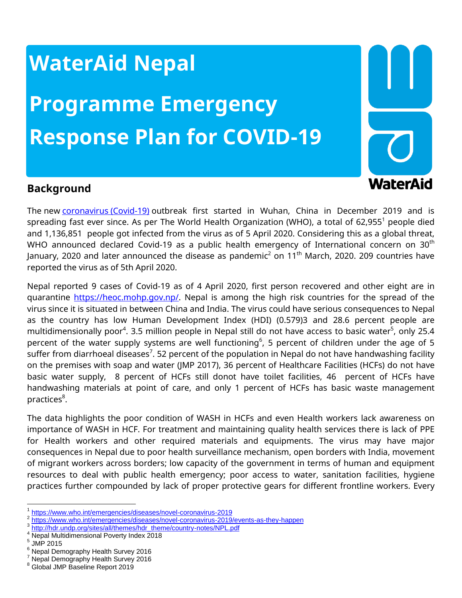## **WaterAid Nepal**

# **Programme Emergency Response Plan for COVID-19**



### **Background**

The new [coronavirus](https://www.telegraph.co.uk/global-health/science-and-disease/coronavirus-news-uk-latest-italy-deaths-cases-schools-lockdown/) (Covid-19) outbreak first started in Wuhan, China in December 2019 and is spreading fast ever since. As per The World Health Organization (WHO), a total of  $62,955<sup>1</sup>$  people died and 1,136,851 people got infected from the virus as of 5 April 2020. Considering this as a global threat, WHO announced declared Covid-19 as a public health emergency of International concern on 30<sup>th</sup> January, 2020 and later announced the disease as pandemic $^2$  on 11 $^{\rm th}$  March, 2020. 209 countries have reported the virus as of 5th April 2020.

Nepal reported 9 cases of Covid-19 as of 4 April 2020, first person recovered and other eight are in quarantine [https://heoc.mohp.gov.np/.](https://heoc.mohp.gov.np/) Nepal is among the high risk countries for the spread of the virus since it is situated in between China and India. The virus could have serious consequences to Nepal as the country has low Human Development Index (HDI) (0.579)3 and 28.6 percent people are multidimensionally poor<sup>4</sup>. 3.5 million people in Nepal still do not have access to basic water<sup>5</sup>, only 25.4 percent of the water supply systems are well functioning $^6$ , 5 percent of children under the age of 5 suffer from diarrhoeal diseases $^7$ . 52 percent of the population in Nepal do not have handwashing facility on the premises with soap and water (JMP 2017), 36 percent of Healthcare Facilities (HCFs) do not have basic water supply, 8 percent of HCFs still donot have toilet facilities, 46 percent of HCFs have handwashing materials at point of care, and only 1 percent of HCFs has basic waste management practices<sup>8</sup>.

The data highlights the poor condition of WASH in HCFs and even Health workers lack awareness on importance of WASH in HCF. For treatment and maintaining quality health services there is lack of PPE for Health workers and other required materials and equipments. The virus may have major consequences in Nepal due to poor health surveillance mechanism, open borders with India, movement of migrant workers across borders; low capacity of the government in terms of human and equipment resources to deal with public health emergency; poor access to water, sanitation facilities, hygiene practices further compounded by lack of proper protective gears for different frontline workers. Every

 $\overline{\phantom{a}}$ 

<sup>&</sup>lt;sup>1</sup> <https://www.who.int/emergencies/diseases/novel-coronavirus-2019>

<sup>2</sup> <https://www.who.int/emergencies/diseases/novel-coronavirus-2019/events-as-they-happen>

<sup>&</sup>lt;sup>3</sup> [http://hdr.undp.org/sites/all/themes/hdr\\_theme/country-notes/NPL.pdf](http://hdr.undp.org/sites/all/themes/hdr_theme/country-notes/NPL.pdf)

<sup>4</sup> Nepal Multidimensional Poverty Index 2018

 $^5$  JMP 2015

<sup>6</sup> Nepal Demography Health Survey 2016

<sup>7</sup> Nepal Demography Health Survey 2016

<sup>8</sup> Global JMP Baseline Report 2019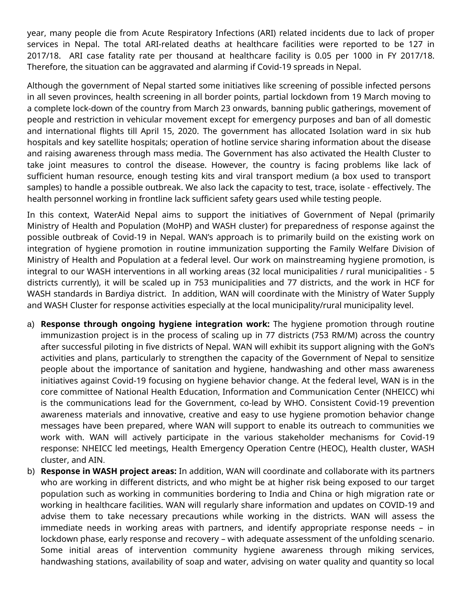year, many people die from Acute Respiratory Infections (ARI) related incidents due to lack of proper services in Nepal. The total ARI-related deaths at healthcare facilities were reported to be 127 in 2017/18. ARI case fatality rate per thousand at healthcare facility is 0.05 per 1000 in FY 2017/18. Therefore, the situation can be aggravated and alarming if Covid-19 spreads in Nepal.

Although the government of Nepal started some initiatives like screening of possible infected persons in all seven provinces, health screening in all border points, partial lockdown from 19 March moving to a complete lock-down of the country from March 23 onwards, banning public gatherings, movement of people and restriction in vehicular movement except for emergency purposes and ban of all domestic and international flights till April 15, 2020. The government has allocated Isolation ward in six hub hospitals and key satellite hospitals; operation of hotline service sharing information about the disease and raising awareness through mass media. The Government has also activated the Health Cluster to take joint measures to control the disease. However, the country is facing problems like lack of sufficient human resource, enough testing kits and viral transport medium (a box used to transport samples) to handle a possible outbreak. We also lack the capacity to test, trace, isolate - effectively. The health personnel working in frontline lack sufficient safety gears used while testing people.

In this context, WaterAid Nepal aims to support the initiatives of Government of Nepal (primarily Ministry of Health and Population (MoHP) and WASH cluster) for preparedness of response against the possible outbreak of Covid-19 in Nepal. WAN's approach is to primarily build on the existing work on integration of hygiene promotion in routine immunization supporting the Family Welfare Division of Ministry of Health and Population at a federal level. Our work on mainstreaming hygiene promotion, is integral to our WASH interventions in all working areas (32 local municipalities / rural municipalities - 5 districts currently), it will be scaled up in 753 municipalities and 77 districts, and the work in HCF for WASH standards in Bardiya district. In addition, WAN will coordinate with the Ministry of Water Supply and WASH Cluster for response activities especially at the local municipality/rural municipality level.

- a) **Response through ongoing hygiene integration work:** The hygiene promotion through routine immunizastion project is in the process of scaling up in 77 districts (753 RM/M) across the country after successful piloting in five districts of Nepal. WAN will exhibit its support aligning with the GoN's activities and plans, particularly to strengthen the capacity of the Government of Nepal to sensitize people about the importance of sanitation and hygiene, handwashing and other mass awareness initiatives against Covid-19 focusing on hygiene behavior change. At the federal level, WAN is in the core committee of National Health Education, Information and Communication Center (NHEICC) whi is the communications lead for the Government, co-lead by WHO. Consistent Covid-19 prevention awareness materials and innovative, creative and easy to use hygiene promotion behavior change messages have been prepared, where WAN will support to enable its outreach to communities we work with. WAN will actively participate in the various stakeholder mechanisms for Covid-19 response: NHEICC led meetings, Health Emergency Operation Centre (HEOC), Health cluster, WASH cluster, and AIN.
- b) **Response in WASH project areas:** In addition, WAN will coordinate and collaborate with its partners who are working in different districts, and who might be at higher risk being exposed to our target population such as working in communities bordering to India and China or high migration rate or working in healthcare facilities. WAN will regularly share information and updates on COVID-19 and advise them to take necessary precautions while working in the districts. WAN will assess the immediate needs in working areas with partners, and identify appropriate response needs – in lockdown phase, early response and recovery – with adequate assessment of the unfolding scenario. Some initial areas of intervention community hygiene awareness through miking services, handwashing stations, availability of soap and water, advising on water quality and quantity so local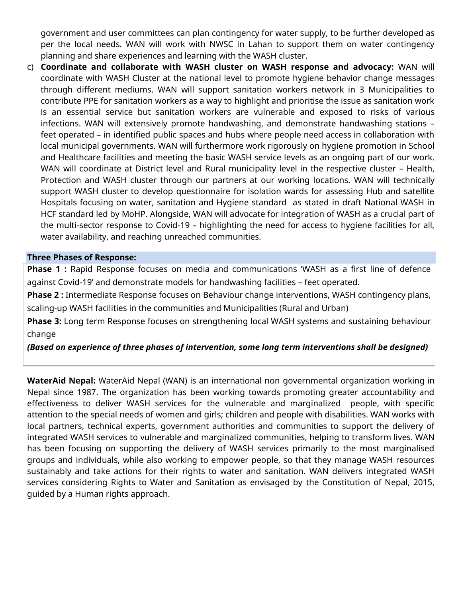government and user committees can plan contingency for water supply, to be further developed as per the local needs. WAN will work with NWSC in Lahan to support them on water contingency planning and share experiences and learning with the WASH cluster.

c) **Coordinate and collaborate with WASH cluster on WASH response and advocacy:** WAN will coordinate with WASH Cluster at the national level to promote hygiene behavior change messages through different mediums. WAN will support sanitation workers network in 3 Municipalities to contribute PPE for sanitation workers as a way to highlight and prioritise the issue as sanitation work is an essential service but sanitation workers are vulnerable and exposed to risks of various infections. WAN will extensively promote handwashing, and demonstrate handwashing stations – feet operated – in identified public spaces and hubs where people need access in collaboration with local municipal governments. WAN will furthermore work rigorously on hygiene promotion in School and Healthcare facilities and meeting the basic WASH service levels as an ongoing part of our work. WAN will coordinate at District level and Rural municipality level in the respective cluster - Health, Protection and WASH cluster through our partners at our working locations. WAN will technically support WASH cluster to develop questionnaire for isolation wards for assessing Hub and satellite Hospitals focusing on water, sanitation and Hygiene standard as stated in draft National WASH in HCF standard led by MoHP. Alongside, WAN will advocate for integration of WASH as a crucial part of the multi-sector response to Covid-19 – highlighting the need for access to hygiene facilities for all, water availability, and reaching unreached communities.

#### **Three Phases of Response:**

**Phase 1 :** Rapid Response focuses on media and communications 'WASH as a first line of defence against Covid-19' and demonstrate models for handwashing facilities – feet operated.

**Phase 2 :** Intermediate Response focuses on Behaviour change interventions, WASH contingency plans, scaling-up WASH facilities in the communities and Municipalities (Rural and Urban)

**Phase 3:** Long term Response focuses on strengthening local WASH systems and sustaining behaviour change

*(Based on experience of three phases of intervention, some long term interventions shall be designed)*

**WaterAid Nepal:** WaterAid Nepal (WAN) is an international non governmental organization working in Nepal since 1987. The organization has been working towards promoting greater accountability and effectiveness to deliver WASH services for the vulnerable and marginalized people, with specific attention to the special needs of women and girls; children and people with disabilities. WAN works with local partners, technical experts, government authorities and communities to support the delivery of integrated WASH services to vulnerable and marginalized communities, helping to transform lives. WAN has been focusing on supporting the delivery of WASH services primarily to the most marginalised groups and individuals, while also working to empower people, so that they manage WASH resources sustainably and take actions for their rights to water and sanitation. WAN delivers integrated WASH services considering Rights to Water and Sanitation as envisaged by the Constitution of Nepal, 2015, guided by a Human rights approach.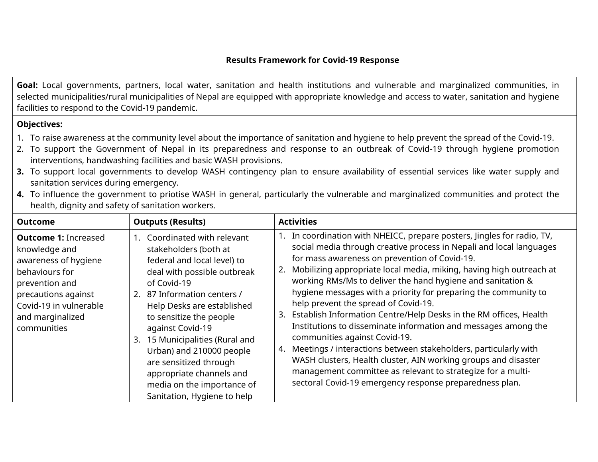#### **Results Framework for Covid-19 Response**

**Goal:** Local governments, partners, local water, sanitation and health institutions and vulnerable and marginalized communities, in selected municipalities/rural municipalities of Nepal are equipped with appropriate knowledge and access to water, sanitation and hygiene facilities to respond to the Covid-19 pandemic.

#### **Objectives:**

- 1. To raise awareness at the community level about the importance of sanitation and hygiene to help prevent the spread of the Covid-19.
- 2. To support the Government of Nepal in its preparedness and response to an outbreak of Covid-19 through hygiene promotion interventions, handwashing facilities and basic WASH provisions.
- **3.** To support local governments to develop WASH contingency plan to ensure availability of essential services like water supply and sanitation services during emergency.

| <b>Outcome</b>                                                                                                                                                                               | <b>Outputs (Results)</b>                                                                                                                                                                                                                                                                                                                                                                                                                        | <b>Activities</b>                                                                                                                                                                                                                                                                                                                                                                                                                                                                                                                                                                                                                                                                                                                                                                                                                                                                                |
|----------------------------------------------------------------------------------------------------------------------------------------------------------------------------------------------|-------------------------------------------------------------------------------------------------------------------------------------------------------------------------------------------------------------------------------------------------------------------------------------------------------------------------------------------------------------------------------------------------------------------------------------------------|--------------------------------------------------------------------------------------------------------------------------------------------------------------------------------------------------------------------------------------------------------------------------------------------------------------------------------------------------------------------------------------------------------------------------------------------------------------------------------------------------------------------------------------------------------------------------------------------------------------------------------------------------------------------------------------------------------------------------------------------------------------------------------------------------------------------------------------------------------------------------------------------------|
| <b>Outcome 1: Increased</b><br>knowledge and<br>awareness of hygiene<br>behaviours for<br>prevention and<br>precautions against<br>Covid-19 in vulnerable<br>and marginalized<br>communities | Coordinated with relevant<br>$1_{\cdot}$<br>stakeholders (both at<br>federal and local level) to<br>deal with possible outbreak<br>of Covid-19<br>2. 87 Information centers /<br>Help Desks are established<br>to sensitize the people<br>against Covid-19<br>15 Municipalities (Rural and<br>3.<br>Urban) and 210000 people<br>are sensitized through<br>appropriate channels and<br>media on the importance of<br>Sanitation, Hygiene to help | 1. In coordination with NHEICC, prepare posters, Jingles for radio, TV,<br>social media through creative process in Nepali and local languages<br>for mass awareness on prevention of Covid-19.<br>2. Mobilizing appropriate local media, miking, having high outreach at<br>working RMs/Ms to deliver the hand hygiene and sanitation &<br>hygiene messages with a priority for preparing the community to<br>help prevent the spread of Covid-19.<br>3. Establish Information Centre/Help Desks in the RM offices, Health<br>Institutions to disseminate information and messages among the<br>communities against Covid-19.<br>4. Meetings / interactions between stakeholders, particularly with<br>WASH clusters, Health cluster, AIN working groups and disaster<br>management committee as relevant to strategize for a multi-<br>sectoral Covid-19 emergency response preparedness plan. |

**4.** To influence the government to priotise WASH in general, particularly the vulnerable and marginalized communities and protect the health, dignity and safety of sanitation workers.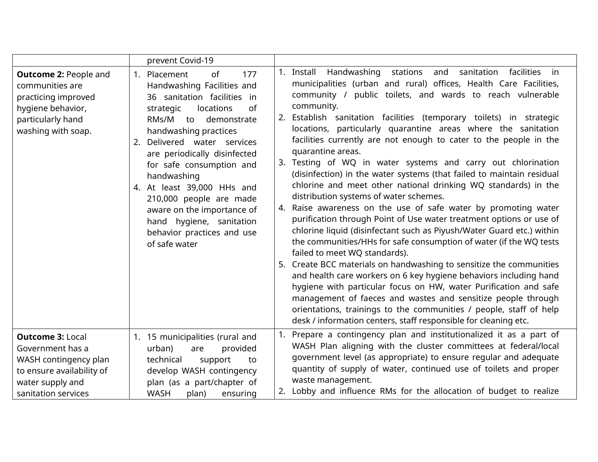|                                                                                                                                              | prevent Covid-19                                                                                                                                                                                                                                                                                                                                                                                                                                                           |                                                                                                                                                                                                                                                                                                                                                                                                                                                                                                                                                                                                                                                                                                                                                                                                                                                                                                                                                                                                                                                                                                                                                                                                                                                                                                                                                                                                                                                                         |
|----------------------------------------------------------------------------------------------------------------------------------------------|----------------------------------------------------------------------------------------------------------------------------------------------------------------------------------------------------------------------------------------------------------------------------------------------------------------------------------------------------------------------------------------------------------------------------------------------------------------------------|-------------------------------------------------------------------------------------------------------------------------------------------------------------------------------------------------------------------------------------------------------------------------------------------------------------------------------------------------------------------------------------------------------------------------------------------------------------------------------------------------------------------------------------------------------------------------------------------------------------------------------------------------------------------------------------------------------------------------------------------------------------------------------------------------------------------------------------------------------------------------------------------------------------------------------------------------------------------------------------------------------------------------------------------------------------------------------------------------------------------------------------------------------------------------------------------------------------------------------------------------------------------------------------------------------------------------------------------------------------------------------------------------------------------------------------------------------------------------|
| <b>Outcome 2: People and</b><br>communities are<br>practicing improved<br>hygiene behavior,<br>particularly hand<br>washing with soap.       | Placement<br>177<br><sub>of</sub><br>1.<br>Handwashing Facilities and<br>36 sanitation facilities in<br>of<br>locations<br>strategic<br>RMs/M<br>demonstrate<br>to<br>handwashing practices<br>Delivered water services<br>2.<br>are periodically disinfected<br>for safe consumption and<br>handwashing<br>4. At least 39,000 HHs and<br>210,000 people are made<br>aware on the importance of<br>hand hygiene, sanitation<br>behavior practices and use<br>of safe water | 1. Install Handwashing<br>stations<br>and<br>sanitation<br>facilities<br>in in<br>municipalities (urban and rural) offices, Health Care Facilities,<br>community / public toilets, and wards to reach vulnerable<br>community.<br>2. Establish sanitation facilities (temporary toilets) in strategic<br>locations, particularly quarantine areas where the sanitation<br>facilities currently are not enough to cater to the people in the<br>quarantine areas.<br>3. Testing of WQ in water systems and carry out chlorination<br>(disinfection) in the water systems (that failed to maintain residual<br>chlorine and meet other national drinking WQ standards) in the<br>distribution systems of water schemes.<br>4. Raise awareness on the use of safe water by promoting water<br>purification through Point of Use water treatment options or use of<br>chlorine liquid (disinfectant such as Piyush/Water Guard etc.) within<br>the communities/HHs for safe consumption of water (if the WQ tests<br>failed to meet WQ standards).<br>5. Create BCC materials on handwashing to sensitize the communities<br>and health care workers on 6 key hygiene behaviors including hand<br>hygiene with particular focus on HW, water Purification and safe<br>management of faeces and wastes and sensitize people through<br>orientations, trainings to the communities / people, staff of help<br>desk / information centers, staff responsible for cleaning etc. |
| <b>Outcome 3: Local</b><br>Government has a<br>WASH contingency plan<br>to ensure availability of<br>water supply and<br>sanitation services | 1. 15 municipalities (rural and<br>urban)<br>provided<br>are<br>technical<br>support<br>to<br>develop WASH contingency<br>plan (as a part/chapter of<br><b>WASH</b><br>ensuring<br>plan)                                                                                                                                                                                                                                                                                   | Prepare a contingency plan and institutionalized it as a part of<br>WASH Plan aligning with the cluster committees at federal/local<br>government level (as appropriate) to ensure regular and adequate<br>quantity of supply of water, continued use of toilets and proper<br>waste management.<br>Lobby and influence RMs for the allocation of budget to realize                                                                                                                                                                                                                                                                                                                                                                                                                                                                                                                                                                                                                                                                                                                                                                                                                                                                                                                                                                                                                                                                                                     |